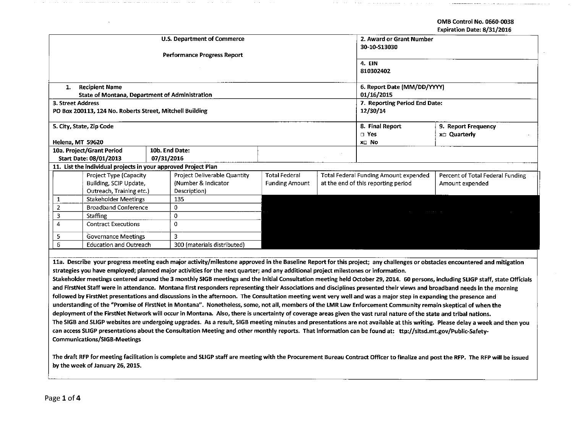## OMB Control No. 0660-0038 Expiration Date: 8/31/2016

| <b>U.S. Department of Commerce</b>                             |                                                          |                             |                                    |                               |                                                        | 2. Award or Grant Number |                                  |  |
|----------------------------------------------------------------|----------------------------------------------------------|-----------------------------|------------------------------------|-------------------------------|--------------------------------------------------------|--------------------------|----------------------------------|--|
|                                                                |                                                          |                             |                                    | 30-10-S13030                  |                                                        |                          |                                  |  |
|                                                                |                                                          |                             | <b>Performance Progress Report</b> |                               |                                                        |                          |                                  |  |
|                                                                |                                                          |                             |                                    |                               |                                                        | 4. EIN                   |                                  |  |
|                                                                |                                                          |                             |                                    | 810302402                     |                                                        |                          |                                  |  |
|                                                                |                                                          |                             |                                    |                               |                                                        |                          |                                  |  |
| 1.                                                             | <b>Recipient Name</b>                                    |                             |                                    | 6. Report Date (MM/DD/YYYY)   |                                                        |                          |                                  |  |
|                                                                | State of Montana, Department of Administration           |                             |                                    | 01/16/2015                    |                                                        |                          |                                  |  |
| 3. Street Address                                              |                                                          |                             |                                    | 7. Reporting Period End Date: |                                                        |                          |                                  |  |
|                                                                | PO Box 200113, 124 No. Roberts Street, Mitchell Building |                             |                                    |                               |                                                        | 12/30/14                 |                                  |  |
|                                                                |                                                          |                             |                                    |                               |                                                        |                          |                                  |  |
| 5. City, State, Zip Code                                       |                                                          |                             |                                    |                               |                                                        | 8. Final Report          | 9. Report Frequency              |  |
|                                                                |                                                          |                             |                                    |                               |                                                        | $\Box$ Yes               | xo Quarterly                     |  |
| Helena, MT 59620                                               |                                                          |                             |                                    |                               |                                                        | x□ No                    |                                  |  |
|                                                                | 10a. Project/Grant Period                                |                             | 10b. End Date:                     |                               |                                                        |                          |                                  |  |
| Start Date: 08/01/2013                                         |                                                          |                             | 07/31/2016                         |                               |                                                        |                          |                                  |  |
|                                                                |                                                          |                             |                                    |                               |                                                        |                          |                                  |  |
| 11. List the individual projects in your approved Project Plan |                                                          |                             |                                    |                               |                                                        |                          |                                  |  |
|                                                                | Project Type (Capacity                                   |                             | Project Deliverable Quantity       | <b>Total Federal</b>          | <b>Total Federal Funding Amount expended</b>           |                          | Percent of Total Federal Funding |  |
|                                                                | Building, SCIP Update,                                   |                             | (Number & Indicator                | <b>Funding Amount</b>         | at the end of this reporting period<br>Amount expended |                          |                                  |  |
|                                                                | Outreach, Training etc.)                                 |                             | Description)                       |                               |                                                        |                          |                                  |  |
| $\mathbf{1}$                                                   | <b>Stakeholder Meetings</b>                              |                             | 135                                |                               |                                                        |                          |                                  |  |
| 2                                                              | <b>Broadband Conference</b>                              |                             | 0                                  |                               |                                                        |                          |                                  |  |
| 3                                                              | <b>Staffing</b>                                          |                             | $\mathbf{0}$                       | contract and contract         |                                                        |                          |                                  |  |
| 4<br><b>Contract Executions</b>                                |                                                          | 0                           |                                    |                               |                                                        |                          |                                  |  |
| 5                                                              | <b>Governance Meetings</b>                               |                             | 3                                  |                               |                                                        |                          |                                  |  |
| 6<br><b>Education and Outreach</b>                             |                                                          | 300 (materials distributed) |                                    |                               |                                                        |                          |                                  |  |
|                                                                |                                                          |                             |                                    |                               |                                                        |                          |                                  |  |

11a. Describe your progress meeting each major activity/milestone approved in the Baseline Report for this project; any challenges or obstacles encountered and mitigation strategies you have employed; planned major activities for the next quarter; and any additional project milestones or information.

Stakeholder meetings centered around the 3 monthly 51GB meetings and the Initial Consultation meeting held October 29, 2014. 60 persons, including SLIGP staff, state Officials and FirstNet Staff were in attendance. Montana first responders representing their Associations and disciplines presented their views and broadband needs in the morning followed by FirstNet presentations and discussions in the afternoon. The Consultation meeting went very well and was a major step in expanding the presence and understanding of the ''Promise of FirstNet in Montana". Nonetheless, *some,* not all, members of the LMR Law Enforcement Community remain skeptical of when the deployment of the FirstNet Network will occur in Montana. Also, there is uncertainty of coverage areas given the vast rural nature of the state and tribal nations. The SIGB and SLIGP websites are undergoing upgrades. As a result, 51GB meeting minutes and presentations are not available at this writing. Please delay a week and then you can access SLIGP presentations about the Consultation Meeting and other monthly reports. That information can be found at: ttp://sitsd.mt.gov/Public-Safety-Communications/SIGB-Meetings

The draft RFP for meeting facilitation is complete and SLIGP staff are meeting with the Procurement Bureau Contract Officer to finalize and post the RFP. The RFP will be issued by the week of January 26, 2015.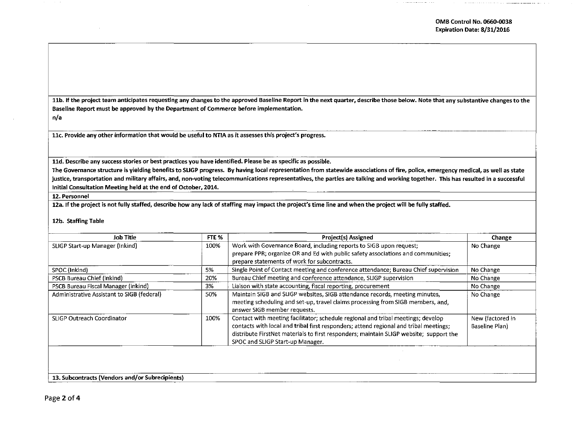11b. If the project team anticipates requesting any changes to the approved Baseline Report in the next quarter, describe those below. Note that any substantive changes to the Baseline Report must be approved by the Department of Commerce before implementation.

n/a

llc. Provide any other information that would be useful to NTIA as it assesses this project's progress.

lld. Describe any success stories or best practices you have identified. Please be as specific as possible.

The Governance structure is yielding benefits to SLIGP progress. By having local representation from statewide associations of fire, police, emergency medical, as well as state justice, transportation and military affairs, and, non-voting telecommunications representatives, the parties are talking and working together. This has resulted in a successful Initial Consultation Meeting held at the end of October, 2014.

12. Personnel

12a. If the project is not fully staffed, describe how any lack of staffing may impact the project's time line and when the project will be fully staffed.

## 12b. Staffing Table

| Job Title                                  | FTE % | Project(s) Assigned                                                                                                                                                                                                                                                                                     | Change                             |
|--------------------------------------------|-------|---------------------------------------------------------------------------------------------------------------------------------------------------------------------------------------------------------------------------------------------------------------------------------------------------------|------------------------------------|
| SLIGP Start-up Manager (Inkind)            | 100%  | Work with Governance Board, including reports to SIGB upon request;<br>prepare PPR; organize OR and Ed with public safety associations and communities;<br>prepare statements of work for subcontracts.                                                                                                 | No Change                          |
| SPOC (Inkind)                              | 5%    | Single Point of Contact meeting and conference attendance; Bureau Chief supervision                                                                                                                                                                                                                     | No Change                          |
| PSCB Bureau Chief (inkind)                 | 20%   | Bureau Chief meeting and conference attendance, SLIGP supervision                                                                                                                                                                                                                                       | No Change                          |
| PSCB Bureau Fiscal Manager (inkind)        | 3%    | Liaison with state accounting, fiscal reporting, procurement                                                                                                                                                                                                                                            | No Change                          |
| Administrative Assistant to SIGB (federal) | 50%   | Maintain SIGB and SLIGP websites, SIGB attendance records, meeting minutes,<br>meeting scheduling and set-up, travel claims processing from SIGB members, and,<br>answer SIGB member requests.                                                                                                          | No Change                          |
| SLIGP Outreach Coordinator                 | 100%  | Contact with meeting facilitator; schedule regional and tribal meetings; develop<br>contacts with local and tribal first responders; attend regional and tribal meetings;<br>distribute FirstNet materials to first responders; maintain SLIGP website; support the<br>SPOC and SLIGP Start-up Manager. | New (factored in<br>Baseline Plan) |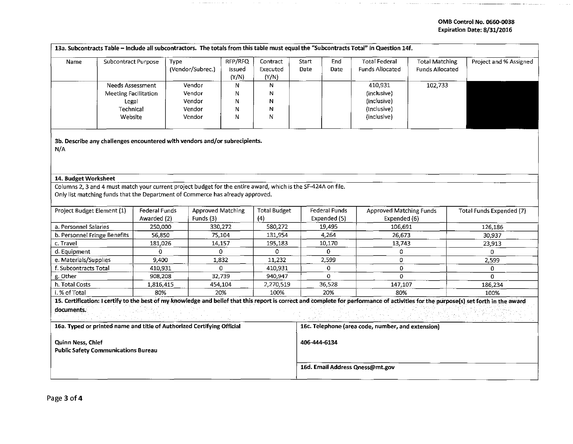## OMB Control No. 0660-0038 Expiration Date: 8/31/2016

. The construction of the contract contract of the  $\alpha$ 

 $\sim 10^{-1}$ 

|                                                                 |                             |                                     |                                                                                                               |                            |                               |                                 |                                      | 13a. Subcontracts Table - Include all subcontractors. The totals from this table must equal the "Subcontracts Total" in Question 14f. |                                                 |                                                                                                                                                                                      |
|-----------------------------------------------------------------|-----------------------------|-------------------------------------|---------------------------------------------------------------------------------------------------------------|----------------------------|-------------------------------|---------------------------------|--------------------------------------|---------------------------------------------------------------------------------------------------------------------------------------|-------------------------------------------------|--------------------------------------------------------------------------------------------------------------------------------------------------------------------------------------|
| Name                                                            | Subcontract Purpose         |                                     | Type<br>(Vendor/Subrec.)                                                                                      | RFP/RFQ<br>Issued<br>(Y/N) | Contract<br>Executed<br>(Y/N) | Start<br>Date                   | End<br>Date                          | <b>Total Federal</b><br><b>Funds Allocated</b>                                                                                        | <b>Total Matching</b><br><b>Funds Allocated</b> | Project and % Assigned                                                                                                                                                               |
|                                                                 | Needs Assessment            |                                     | Vendor                                                                                                        | N                          | N                             |                                 |                                      | 410,931                                                                                                                               | 102,733                                         |                                                                                                                                                                                      |
|                                                                 | <b>Meeting Facilitation</b> |                                     | Vendor                                                                                                        | Ν                          | N                             |                                 |                                      | (inclusive)                                                                                                                           |                                                 |                                                                                                                                                                                      |
|                                                                 | Legal                       |                                     | Vendor                                                                                                        | Ν                          | N                             |                                 |                                      | (inclusive)                                                                                                                           |                                                 |                                                                                                                                                                                      |
|                                                                 | Technical                   |                                     | Vendor                                                                                                        | N                          | N                             |                                 |                                      | (Inclusive)                                                                                                                           |                                                 |                                                                                                                                                                                      |
|                                                                 | Website                     |                                     | Vendor                                                                                                        | N                          | N                             |                                 |                                      | (inclusive)                                                                                                                           |                                                 |                                                                                                                                                                                      |
| N/A                                                             |                             |                                     | 3b. Describe any challenges encountered with vendors and/or subrecipients.                                    |                            |                               |                                 |                                      |                                                                                                                                       |                                                 |                                                                                                                                                                                      |
| 14. Budget Worksheet                                            |                             |                                     |                                                                                                               |                            |                               |                                 |                                      |                                                                                                                                       |                                                 |                                                                                                                                                                                      |
|                                                                 |                             |                                     | Columns 2, 3 and 4 must match your current project budget for the entire award, which is the SF-424A on file. |                            |                               |                                 |                                      |                                                                                                                                       |                                                 |                                                                                                                                                                                      |
|                                                                 |                             |                                     | Only list matching funds that the Department of Commerce has already approved.                                |                            |                               |                                 |                                      |                                                                                                                                       |                                                 |                                                                                                                                                                                      |
| Project Budget Element (1)                                      |                             | <b>Federal Funds</b><br>Awarded (2) | Funds (3)                                                                                                     | <b>Approved Matching</b>   |                               |                                 | <b>Federal Funds</b><br>Expended (5) | <b>Approved Matching Funds</b><br>Expended (6)                                                                                        |                                                 | Total Funds Expended (7)                                                                                                                                                             |
| a. Personnel Salaries                                           |                             | 250,000                             |                                                                                                               | 330,272                    | (4)<br>580,272                |                                 | 19,495                               | 106,691                                                                                                                               |                                                 | 126,186                                                                                                                                                                              |
| b. Personnel Fringe Benefits                                    |                             | 56,850                              |                                                                                                               | 75,104                     | 131,954                       |                                 | 4,264                                | 26,673                                                                                                                                |                                                 | 30,937                                                                                                                                                                               |
| c. Travel                                                       |                             | 181,026                             |                                                                                                               | 14,157                     | 195,183                       |                                 | 10,170                               | 13,743                                                                                                                                |                                                 | 23,913                                                                                                                                                                               |
| d. Equipment                                                    |                             | 0                                   |                                                                                                               | $\Omega$                   | 0                             |                                 | 0                                    | 0                                                                                                                                     |                                                 | $\Omega$                                                                                                                                                                             |
| e. Materials/Supplies                                           |                             | 9,400                               |                                                                                                               | 1,832                      | 11,232                        |                                 | 2,599                                | 0                                                                                                                                     |                                                 | 2,599                                                                                                                                                                                |
| f. Subcontracts Total                                           |                             | 410,931                             |                                                                                                               | $\mathbf 0$                | 410,931                       |                                 | 0                                    | 0                                                                                                                                     |                                                 | 0                                                                                                                                                                                    |
| g. Other                                                        |                             | 908,208                             |                                                                                                               | 32,739                     | 940,947                       |                                 | 0                                    | $\Omega$                                                                                                                              |                                                 | $\Omega$                                                                                                                                                                             |
| h. Total Costs                                                  |                             | 1,816,415                           |                                                                                                               | 454,104                    |                               |                                 | 36,528                               | 147,107                                                                                                                               |                                                 | 186,234                                                                                                                                                                              |
| i. % of Total                                                   |                             | 80%                                 |                                                                                                               | 20%                        | 100%                          |                                 | 20%                                  | 80%                                                                                                                                   |                                                 | 100%                                                                                                                                                                                 |
|                                                                 |                             |                                     |                                                                                                               |                            |                               |                                 |                                      |                                                                                                                                       |                                                 | 15. Certification: I certify to the best of my knowledge and belief that this report is correct and complete for performance of activities for the purpose(s) set forth in the award |
| documents.                                                      |                             |                                     |                                                                                                               |                            |                               |                                 |                                      |                                                                                                                                       |                                                 |                                                                                                                                                                                      |
|                                                                 |                             |                                     | 16a. Typed or printed name and title of Authorized Certifying Official                                        |                            |                               |                                 |                                      | 16c. Telephone (area code, number, and extension)                                                                                     |                                                 |                                                                                                                                                                                      |
| Quinn Ness, Chief<br><b>Public Safety Communications Bureau</b> |                             |                                     |                                                                                                               |                            |                               | 406-444-6134                    |                                      |                                                                                                                                       |                                                 |                                                                                                                                                                                      |
|                                                                 |                             |                                     |                                                                                                               |                            |                               | 16d. Email Address Qness@mt.gov |                                      |                                                                                                                                       |                                                 |                                                                                                                                                                                      |

 $\sigma$  and  $\sigma$ 

 $\sim 0.1$ 

 $\sim$  and  $\sim$   $\sim$  000 mesons

 $\sim$ 

 $\alpha$  . Consider the contract of the constant  $\alpha$  is the contract of  $\alpha$ 

. The components in the mass of the set of the contribution of the set of the set of the set of the  $\alpha$